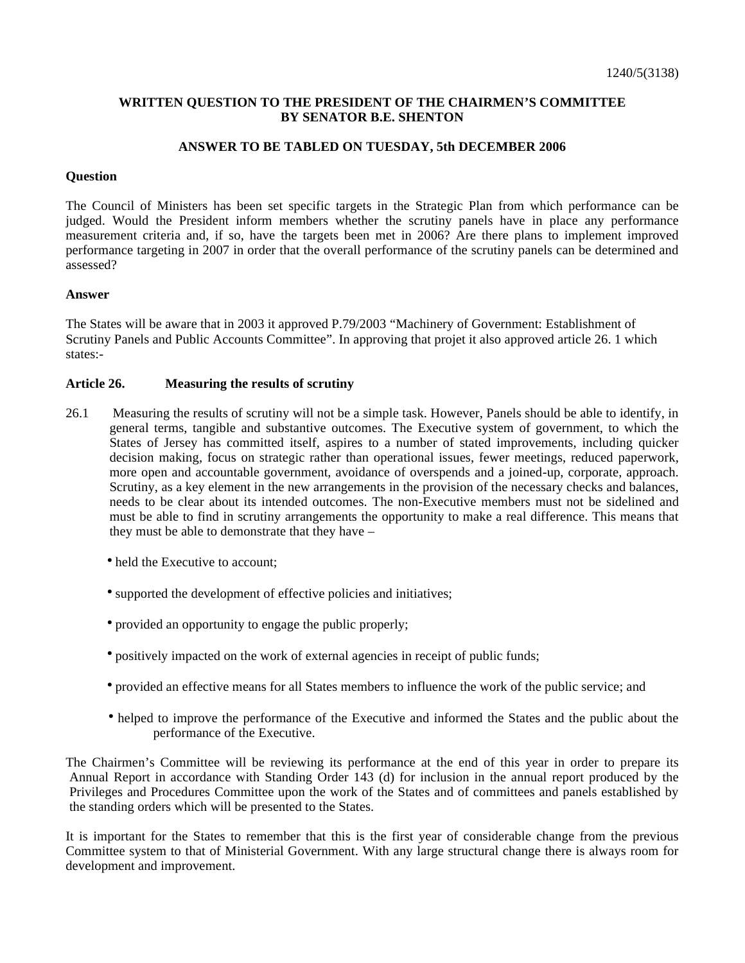## **WRITTEN QUESTION TO THE PRESIDENT OF THE CHAIRMEN'S COMMITTEE BY SENATOR B.E. SHENTON**

### **ANSWER TO BE TABLED ON TUESDAY, 5th DECEMBER 2006**

### **Question**

The Council of Ministers has been set specific targets in the Strategic Plan from which performance can be judged. Would the President inform members whether the scrutiny panels have in place any performance measurement criteria and, if so, have the targets been met in 2006? Are there plans to implement improved performance targeting in 2007 in order that the overall performance of the scrutiny panels can be determined and assessed?

### **Answer**

The States will be aware that in 2003 it approved P.79/2003 "Machinery of Government: Establishment of Scrutiny Panels and Public Accounts Committee". In approving that projet it also approved article 26. 1 which states:-

# **Article 26. Measuring the results of scrutiny**

- 26.1 Measuring the results of scrutiny will not be a simple task. However, Panels should be able to identify, in general terms, tangible and substantive outcomes. The Executive system of government, to which the States of Jersey has committed itself, aspires to a number of stated improvements, including quicker decision making, focus on strategic rather than operational issues, fewer meetings, reduced paperwork, more open and accountable government, avoidance of overspends and a joined-up, corporate, approach. Scrutiny, as a key element in the new arrangements in the provision of the necessary checks and balances, needs to be clear about its intended outcomes. The non-Executive members must not be sidelined and must be able to find in scrutiny arrangements the opportunity to make a real difference. This means that they must be able to demonstrate that they have –
	- held the Executive to account:
	- supported the development of effective policies and initiatives;
	- provided an opportunity to engage the public properly;
	- positively impacted on the work of external agencies in receipt of public funds;
	- provided an effective means for all States members to influence the work of the public service; and
	- helped to improve the performance of the Executive and informed the States and the public about the performance of the Executive.

The Chairmen's Committee will be reviewing its performance at the end of this year in order to prepare its Annual Report in accordance with Standing Order 143 (d) for inclusion in the annual report produced by the Privileges and Procedures Committee upon the work of the States and of committees and panels established by the standing orders which will be presented to the States.

It is important for the States to remember that this is the first year of considerable change from the previous Committee system to that of Ministerial Government. With any large structural change there is always room for development and improvement.